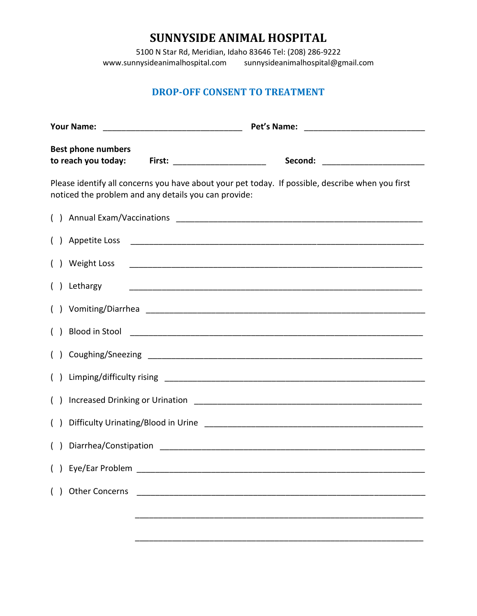## **SUNNYSIDE ANIMAL HOSPITAL**

5100 N Star Rd, Meridian, Idaho 83646 Tel: (208) 286-9222 sunnysideanimalhospital@gmail.com

## **DROP-OFF CONSENT TO TREATMENT**

| <b>Best phone numbers</b><br>to reach you today:                                                                                                         | <b>First: _______________________</b><br>Second: ________________________                                                                                                                                                            |
|----------------------------------------------------------------------------------------------------------------------------------------------------------|--------------------------------------------------------------------------------------------------------------------------------------------------------------------------------------------------------------------------------------|
| Please identify all concerns you have about your pet today. If possible, describe when you first<br>noticed the problem and any details you can provide: |                                                                                                                                                                                                                                      |
|                                                                                                                                                          |                                                                                                                                                                                                                                      |
|                                                                                                                                                          | Appetite Loss 2008 2008 2009 2009 2010 2020 2031 2040 2050 2061 2071 2080 2081 2082 2083 2084 2085 2086 2087 20                                                                                                                      |
| () Weight Loss                                                                                                                                           |                                                                                                                                                                                                                                      |
| Lethargy                                                                                                                                                 |                                                                                                                                                                                                                                      |
|                                                                                                                                                          |                                                                                                                                                                                                                                      |
|                                                                                                                                                          | Blood in Stool <u>Production and the state of the state of the state of the state of the state of the state of the state of the state of the state of the state of the state of the state of the state of the state of the state</u> |
|                                                                                                                                                          | () Coughing/Sneezing 2008 2009 2010 2020 2031 2040 2051 2062 2071 2083 2094 2095 2096 2097 2098 2099 2099 2091 20                                                                                                                    |
|                                                                                                                                                          |                                                                                                                                                                                                                                      |
|                                                                                                                                                          |                                                                                                                                                                                                                                      |
|                                                                                                                                                          |                                                                                                                                                                                                                                      |
|                                                                                                                                                          |                                                                                                                                                                                                                                      |
| () Eye/Ear Problem __                                                                                                                                    |                                                                                                                                                                                                                                      |
| () Other Concerns                                                                                                                                        |                                                                                                                                                                                                                                      |
|                                                                                                                                                          |                                                                                                                                                                                                                                      |
|                                                                                                                                                          |                                                                                                                                                                                                                                      |